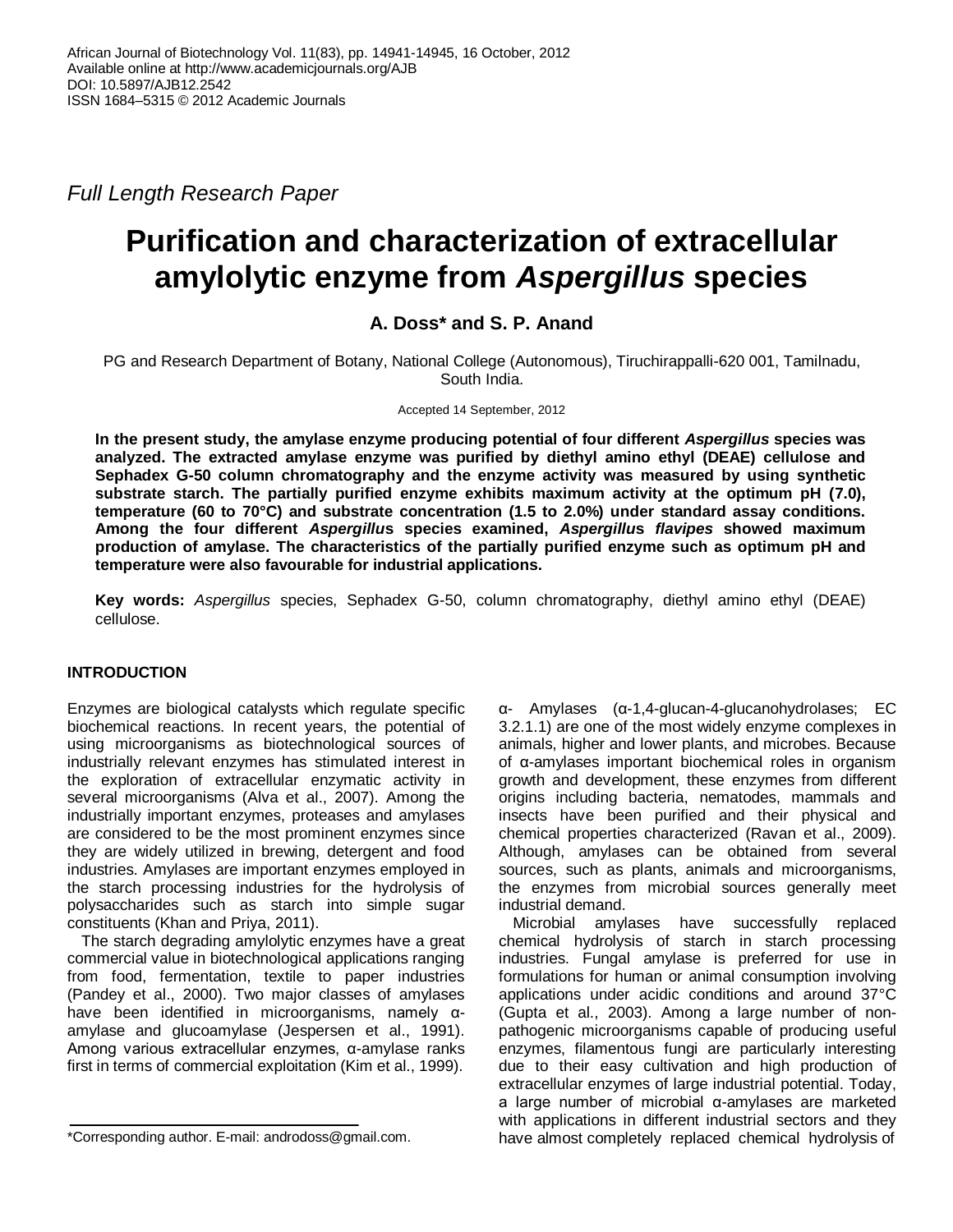*Full Length Research Paper*

# **Purification and characterization of extracellular amylolytic enzyme from** *Aspergillus* **species**

## **A. Doss\* and S. P. Anand**

PG and Research Department of Botany, National College (Autonomous), Tiruchirappalli-620 001, Tamilnadu, South India.

#### Accepted 14 September, 2012

**In the present study, the amylase enzyme producing potential of four different** *Aspergillus* **species was analyzed. The extracted amylase enzyme was purified by diethyl amino ethyl (DEAE) cellulose and Sephadex G-50 column chromatography and the enzyme activity was measured by using synthetic substrate starch. The partially purified enzyme exhibits maximum activity at the optimum pH (7.0), temperature (60 to 70°C) and substrate concentration (1.5 to 2.0%) under standard assay conditions. Among the four different** *Aspergillu***s species examined,** *Aspergillu***s** *flavipes* **showed maximum production of amylase. The characteristics of the partially purified enzyme such as optimum pH and temperature were also favourable for industrial applications.**

**Key words:** *Aspergillus* species, Sephadex G-50, column chromatography, diethyl amino ethyl (DEAE) cellulose.

## **INTRODUCTION**

Enzymes are biological catalysts which regulate specific biochemical reactions. In recent years, the potential of using microorganisms as biotechnological sources of industrially relevant enzymes has stimulated interest in the exploration of extracellular enzymatic activity in several microorganisms (Alva et al., 2007). Among the industrially important enzymes, proteases and amylases are considered to be the most prominent enzymes since they are widely utilized in brewing, detergent and food industries. Amylases are important enzymes employed in the starch processing industries for the hydrolysis of polysaccharides such as starch into simple sugar constituents (Khan and Priya, 2011).

The starch degrading amylolytic enzymes have a great commercial value in biotechnological applications ranging from food, fermentation, textile to paper industries (Pandey et al., 2000). Two major classes of amylases have been identified in microorganisms, namely αamylase and glucoamylase (Jespersen et al., 1991). Among various extracellular enzymes, α-amylase ranks first in terms of commercial exploitation (Kim et al., 1999).

α- Amylases (α-1,4-glucan-4-glucanohydrolases; EC 3.2.1.1) are one of the most widely enzyme complexes in animals, higher and lower plants, and microbes. Because of α-amylases important biochemical roles in organism growth and development, these enzymes from different origins including bacteria, nematodes, mammals and insects have been purified and their physical and chemical properties characterized (Ravan et al., 2009). Although, amylases can be obtained from several sources, such as plants, animals and microorganisms, the enzymes from microbial sources generally meet industrial demand.

Microbial amylases have successfully replaced chemical hydrolysis of starch in starch processing industries. Fungal amylase is preferred for use in formulations for human or animal consumption involving applications under acidic conditions and around 37°C (Gupta et al., 2003). Among a large number of nonpathogenic microorganisms capable of producing useful enzymes, filamentous fungi are particularly interesting due to their easy cultivation and high production of extracellular enzymes of large industrial potential. Today, a large number of microbial α-amylases are marketed with applications in different industrial sectors and they have almost completely replaced chemical hydrolysis of

<sup>\*</sup>Corresponding author. E-mail: androdoss@gmail.com.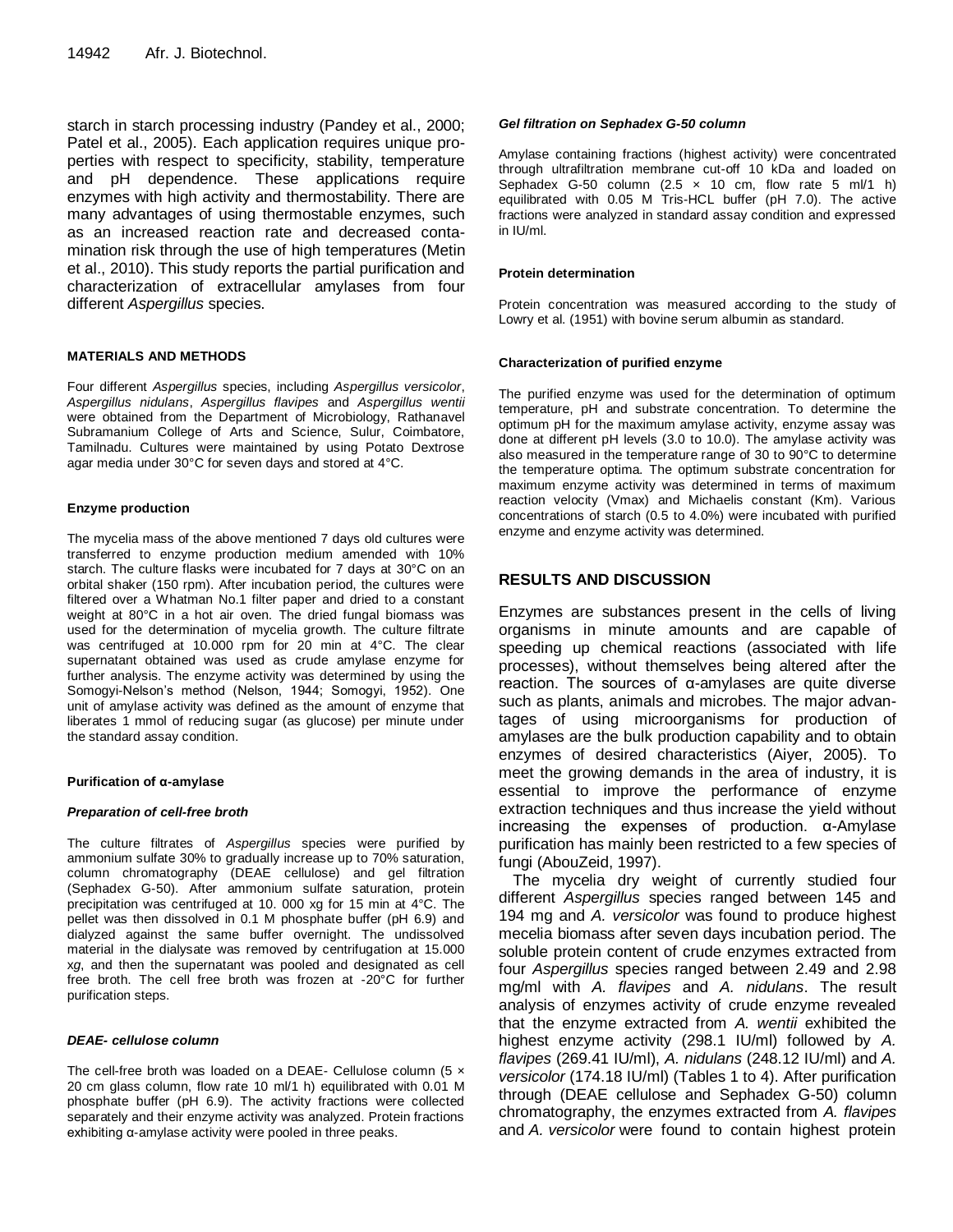starch in starch processing industry (Pandey et al., 2000; Patel et al., 2005). Each application requires unique properties with respect to specificity, stability, temperature and pH dependence. These applications require enzymes with high activity and thermostability. There are many advantages of using thermostable enzymes, such as an increased reaction rate and decreased contamination risk through the use of high temperatures (Metin et al., 2010). This study reports the partial purification and characterization of extracellular amylases from four different *Aspergillus* species.

#### **MATERIALS AND METHODS**

Four different *Aspergillus* species, including *Aspergillus versicolor*, *Aspergillus nidulans*, *Aspergillus flavipes* and *Aspergillus wentii* were obtained from the Department of Microbiology, Rathanavel Subramanium College of Arts and Science, Sulur, Coimbatore, Tamilnadu. Cultures were maintained by using Potato Dextrose agar media under 30°C for seven days and stored at 4°C.

#### **Enzyme production**

The mycelia mass of the above mentioned 7 days old cultures were transferred to enzyme production medium amended with 10% starch. The culture flasks were incubated for 7 days at 30°C on an orbital shaker (150 rpm). After incubation period, the cultures were filtered over a Whatman No.1 filter paper and dried to a constant weight at 80°C in a hot air oven. The dried fungal biomass was used for the determination of mycelia growth. The culture filtrate was centrifuged at 10.000 rpm for 20 min at 4°C. The clear supernatant obtained was used as crude amylase enzyme for further analysis. The enzyme activity was determined by using the Somogyi-Nelson's method (Nelson, 1944; Somogyi, 1952). One unit of amylase activity was defined as the amount of enzyme that liberates 1 mmol of reducing sugar (as glucose) per minute under the standard assay condition.

#### **Purification of α-amylase**

#### *Preparation of cell-free broth*

The culture filtrates of *Aspergillus* species were purified by ammonium sulfate 30% to gradually increase up to 70% saturation, column chromatography (DEAE cellulose) and gel filtration (Sephadex G-50). After ammonium sulfate saturation, protein precipitation was centrifuged at 10. 000 xg for 15 min at 4°C. The pellet was then dissolved in 0.1 M phosphate buffer (pH 6.9) and dialyzed against the same buffer overnight. The undissolved material in the dialysate was removed by centrifugation at 15.000 x*g*, and then the supernatant was pooled and designated as cell free broth. The cell free broth was frozen at -20°C for further purification steps.

#### *DEAE- cellulose column*

The cell-free broth was loaded on a DEAE- Cellulose column (5 x 20 cm glass column, flow rate 10 ml/1 h) equilibrated with 0.01 M phosphate buffer (pH 6.9). The activity fractions were collected separately and their enzyme activity was analyzed. Protein fractions exhibiting α-amylase activity were pooled in three peaks.

#### *Gel filtration on Sephadex G-50 column*

Amylase containing fractions (highest activity) were concentrated through ultrafiltration membrane cut-off 10 kDa and loaded on Sephadex G-50 column  $(2.5 \times 10 \text{ cm}, \text{ flow rate } 5 \text{ m}$  $/1 \text{ h})$ equilibrated with 0.05 M Tris-HCL buffer (pH 7.0). The active fractions were analyzed in standard assay condition and expressed in IU/ml.

#### **Protein determination**

Protein concentration was measured according to the study of Lowry et al. (1951) with bovine serum albumin as standard.

#### **Characterization of purified enzyme**

The purified enzyme was used for the determination of optimum temperature, pH and substrate concentration. To determine the optimum pH for the maximum amylase activity, enzyme assay was done at different pH levels (3.0 to 10.0). The amylase activity was also measured in the temperature range of 30 to 90°C to determine the temperature optima. The optimum substrate concentration for maximum enzyme activity was determined in terms of maximum reaction velocity (Vmax) and Michaelis constant (Km). Various concentrations of starch (0.5 to 4.0%) were incubated with purified enzyme and enzyme activity was determined.

### **RESULTS AND DISCUSSION**

Enzymes are substances present in the cells of living organisms in minute amounts and are capable of speeding up chemical reactions (associated with life processes), without themselves being altered after the reaction. The sources of α-amylases are quite diverse such as plants, animals and microbes. The major advantages of using microorganisms for production of amylases are the bulk production capability and to obtain enzymes of desired characteristics (Aiyer, 2005). To meet the growing demands in the area of industry, it is essential to improve the performance of enzyme extraction techniques and thus increase the yield without increasing the expenses of production. α-Amylase purification has mainly been restricted to a few species of fungi (AbouZeid, 1997).

The mycelia dry weight of currently studied four different *Aspergillus* species ranged between 145 and 194 mg and *A. versicolor* was found to produce highest mecelia biomass after seven days incubation period. The soluble protein content of crude enzymes extracted from four *Aspergillus* species ranged between 2.49 and 2.98 mg/ml with *A. flavipes* and *A. nidulans*. The result analysis of enzymes activity of crude enzyme revealed that the enzyme extracted from *A. wentii* exhibited the highest enzyme activity (298.1 IU/ml) followed by *A. flavipes* (269.41 IU/ml), *A. nidulans* (248.12 IU/ml) and *A. versicolor* (174.18 IU/ml) (Tables 1 to 4). After purification through (DEAE cellulose and Sephadex G-50) column chromatography, the enzymes extracted from *A. flavipes* and *A. versicolor* were found to contain highest protein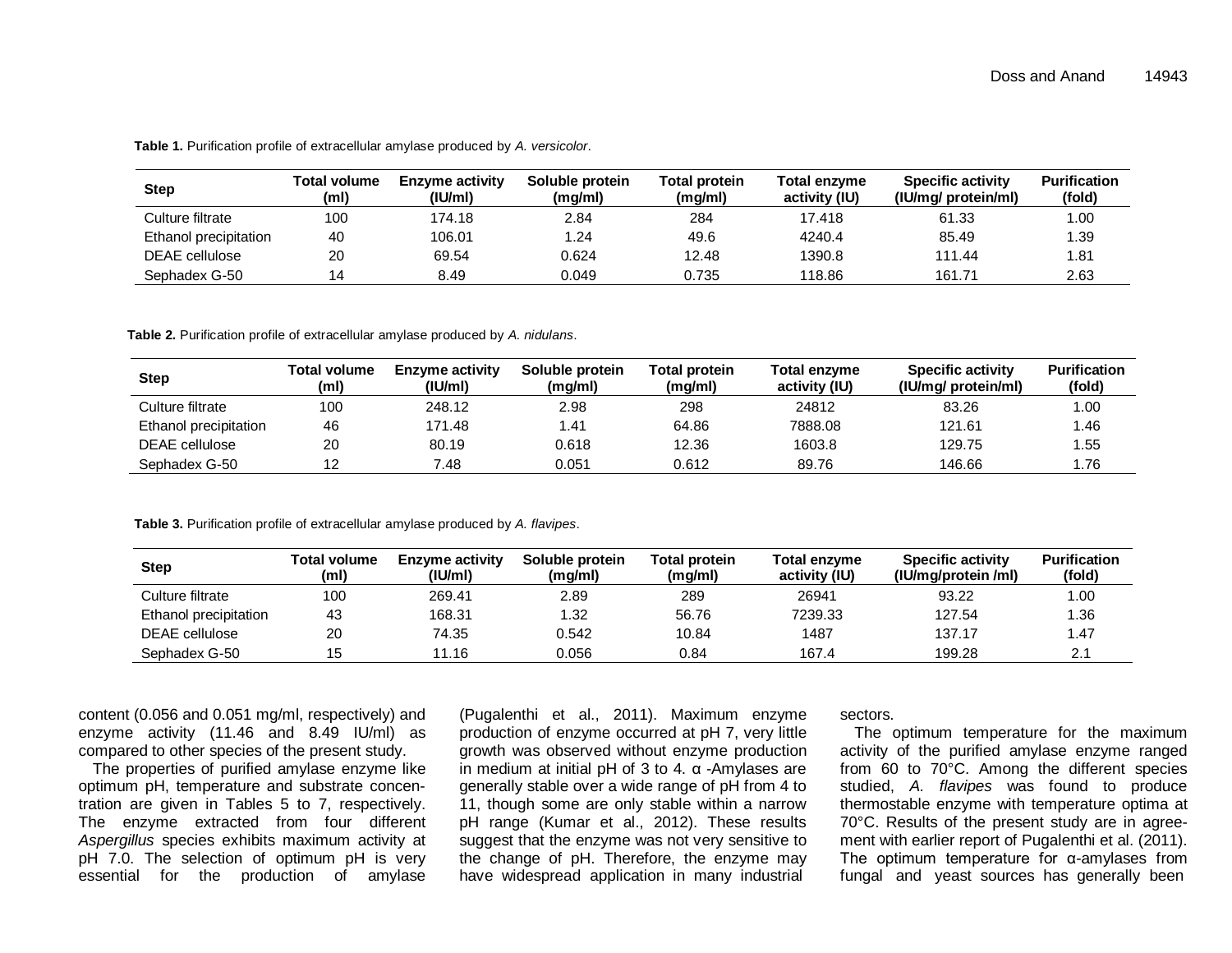| <b>Step</b>           | Total volume<br>(ml) | <b>Enzyme activity</b><br>$($ IU/ml $)$ | Soluble protein<br>(mg/ml) | <b>Total protein</b><br>(mg/ml) | <b>Total enzvme</b><br>activity (IU) | <b>Specific activity</b><br>(IU/mg/ protein/ml) | <b>Purification</b><br>(fold) |
|-----------------------|----------------------|-----------------------------------------|----------------------------|---------------------------------|--------------------------------------|-------------------------------------------------|-------------------------------|
| Culture filtrate      | 100                  | 174.18                                  | 2.84                       | 284                             | 17.418                               | 61.33                                           | .00                           |
| Ethanol precipitation | 40                   | 106.01                                  | 1.24                       | 49.6                            | 4240.4                               | 85.49                                           | .39                           |
| DEAE cellulose        | 20                   | 69.54                                   | 0.624                      | 12.48                           | 1390.8                               | 111.44                                          | 81.،                          |
| Sephadex G-50         | 14                   | 8.49                                    | 0.049                      | 0.735                           | 118.86                               | 161.71                                          | 2.63                          |

**Table 1.** Purification profile of extracellular amylase produced by *A. versicolor*.

**Table 2.** Purification profile of extracellular amylase produced by *A. nidulans*.

| <b>Step</b>           | Total volume<br>(ml) | <b>Enzyme activity</b><br>$($ IU/ml $)$ | Soluble protein<br>(mg/ml) | Total protein<br>(mg/ml) | Total enzyme<br>activity (IU) | <b>Specific activity</b><br>(IU/mg/ protein/ml) | <b>Purification</b><br>(fold) |
|-----------------------|----------------------|-----------------------------------------|----------------------------|--------------------------|-------------------------------|-------------------------------------------------|-------------------------------|
| Culture filtrate      | 100                  | 248.12                                  | 2.98                       | 298                      | 24812                         | 83.26                                           | 00.1                          |
| Ethanol precipitation | 46                   | 171.48                                  | 1.41                       | 64.86                    | 7888.08                       | 121.61                                          | .46                           |
| <b>DEAE</b> cellulose | 20                   | 80.19                                   | 0.618                      | 12.36                    | 1603.8                        | 129.75                                          | .55                           |
| Sephadex G-50         | 10                   | 7.48                                    | 0.051                      | 0.612                    | 89.76                         | 146.66                                          | .76                           |

**Table 3.** Purification profile of extracellular amylase produced by *A. flavipes*.

| Step                  | Total volume<br>(ml) | <b>Enzyme activity</b><br>(IU/ml) | Soluble protein<br>(mg/ml) | Total protein<br>(mg/ml) | <b>Total enzyme</b><br>activity (IU) | <b>Specific activity</b><br>(IU/mg/protein /ml) | <b>Purification</b><br>(fold) |
|-----------------------|----------------------|-----------------------------------|----------------------------|--------------------------|--------------------------------------|-------------------------------------------------|-------------------------------|
| Culture filtrate      | 100                  | 269.41                            | 2.89                       | 289                      | 26941                                | 93.22                                           | 1.00                          |
| Ethanol precipitation | 43                   | 168.31                            | .32                        | 56.76                    | 7239.33                              | 127.54                                          | 1.36                          |
| DEAE cellulose        | 20                   | 74.35                             | 0.542                      | 10.84                    | 1487                                 | 137.17                                          | 1.47                          |
| Sephadex G-50         | 15                   | 11.16                             | 0.056                      | 0.84                     | 167.4                                | 199.28                                          | $\sim$<br>۷.                  |

content (0.056 and 0.051 mg/ml, respectively) and enzyme activity (11.46 and 8.49 IU/ml) as compared to other species of the present study.

The properties of purified amylase enzyme like optimum pH, temperature and substrate concentration are given in Tables 5 to 7, respectively. The enzyme extracted from four different *Aspergillus* species exhibits maximum activity at pH 7.0. The selection of optimum pH is very essential for the production of amylase

(Pugalenthi et al., 2011). Maximum enzyme production of enzyme occurred at pH 7, very little growth was observed without enzyme production in medium at initial pH of 3 to 4. α -Amylases are generally stable over a wide range of pH from 4 to 11, though some are only stable within a narrow pH range (Kumar et al., 2012). These results suggest that the enzyme was not very sensitive to the change of pH. Therefore, the enzyme may have widespread application in many industrial

sectors.

The optimum temperature for the maximum activity of the purified amylase enzyme ranged from 60 to 70°C. Among the different species studied, *A. flavipes* was found to produce thermostable enzyme with temperature optima at 70°C. Results of the present study are in agreement with earlier report of Pugalenthi et al. (2011). The optimum temperature for α-amylases from fungal and yeast sources has generally been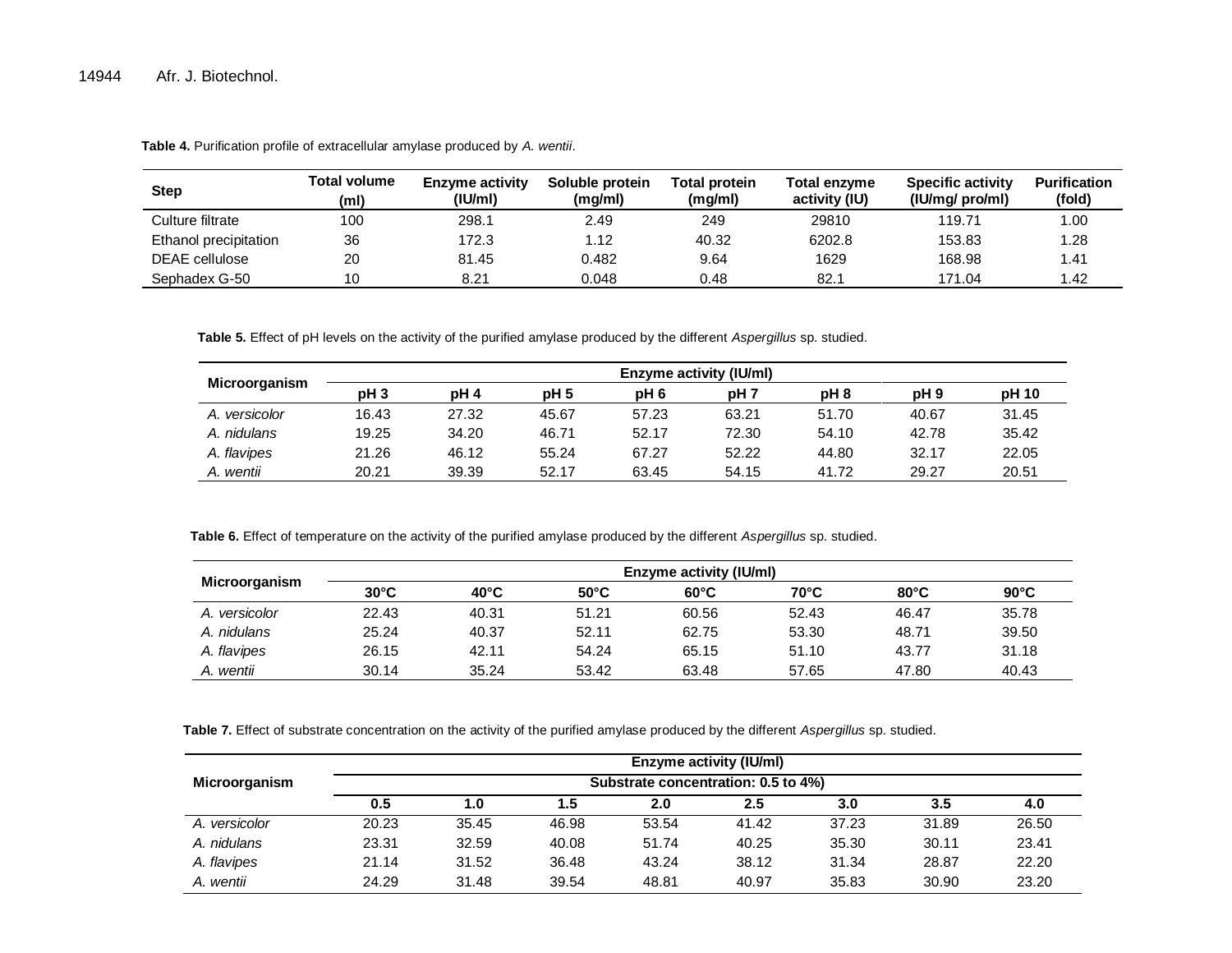| <b>Step</b>           | Total volume<br>(ml) | <b>Enzyme activity</b><br>$($ IU/ml $)$ | Soluble protein<br>(mg/ml) | <b>Total protein</b><br>(mg/ml) | Total enzyme<br>activity (IU) | <b>Specific activity</b><br>(IU/mg/ pro/ml) | <b>Purification</b><br>(fold) |
|-----------------------|----------------------|-----------------------------------------|----------------------------|---------------------------------|-------------------------------|---------------------------------------------|-------------------------------|
| Culture filtrate      | 100                  | 298.1                                   | 2.49                       | 249                             | 29810                         | 119.71                                      | 1.00 <sub>1</sub>             |
| Ethanol precipitation | 36                   | 172.3                                   | 1.12                       | 40.32                           | 6202.8                        | 153.83                                      | 28. ا                         |
| DEAE cellulose        | 20                   | 81.45                                   | 0.482                      | 9.64                            | 1629                          | 168.98                                      | 1.41                          |
| Sephadex G-50         | 10                   | 8.21                                    | 0.048                      | 0.48                            | 82.1                          | 171.04                                      | 42.۱                          |

**Table 4.** Purification profile of extracellular amylase produced by *A. wentii*.

**Table 5.** Effect of pH levels on the activity of the purified amylase produced by the different *Aspergillus* sp. studied.

| Microorganism | Enzyme activity (IU/ml) |                 |                 |                 |                 |       |                 |       |  |  |
|---------------|-------------------------|-----------------|-----------------|-----------------|-----------------|-------|-----------------|-------|--|--|
|               | pH <sub>3</sub>         | pH <sub>4</sub> | pH <sub>5</sub> | pH <sub>6</sub> | pH <sub>7</sub> | pH 8  | pH <sub>9</sub> | pH 10 |  |  |
| A. versicolor | 16.43                   | 27.32           | 45.67           | 57.23           | 63.21           | 51.70 | 40.67           | 31.45 |  |  |
| A. nidulans   | 19.25                   | 34.20           | 46.71           | 52.17           | 72.30           | 54.10 | 42.78           | 35.42 |  |  |
| A. flavipes   | 21.26                   | 46.12           | 55.24           | 67.27           | 52.22           | 44.80 | 32.17           | 22.05 |  |  |
| A. wentii     | 20.21                   | 39.39           | 52.17           | 63.45           | 54.15           | 41.72 | 29.27           | 20.51 |  |  |

**Table 6.** Effect of temperature on the activity of the purified amylase produced by the different *Aspergillus* sp. studied.

| Microorganism | <b>Enzyme activity (IU/ml)</b> |                |                |                |                |                |                |  |  |
|---------------|--------------------------------|----------------|----------------|----------------|----------------|----------------|----------------|--|--|
|               | $30^{\circ}$ C                 | $40^{\circ}$ C | $50^{\circ}$ C | $60^{\circ}$ C | $70^{\circ}$ C | $80^{\circ}$ C | $90^{\circ}$ C |  |  |
| A. versicolor | 22.43                          | 40.31          | 51.21          | 60.56          | 52.43          | 46.47          | 35.78          |  |  |
| A. nidulans   | 25.24                          | 40.37          | 52.11          | 62.75          | 53.30          | 48.71          | 39.50          |  |  |
| A. flavipes   | 26.15                          | 42.11          | 54.24          | 65.15          | 51.10          | 43.77          | 31.18          |  |  |
| A. wentii     | 30.14                          | 35.24          | 53.42          | 63.48          | 57.65          | 47.80          | 40.43          |  |  |

**Table 7.** Effect of substrate concentration on the activity of the purified amylase produced by the different *Aspergillus* sp. studied.

|               |                                     |       |       |       | <b>Enzyme activity (IU/ml)</b> |       |       |       |  |  |
|---------------|-------------------------------------|-------|-------|-------|--------------------------------|-------|-------|-------|--|--|
| Microorganism | Substrate concentration: 0.5 to 4%) |       |       |       |                                |       |       |       |  |  |
|               | 0.5                                 | 1.0   | 5.،   | 2.0   | $2.5\,$                        | 3.0   | 3.5   | 4.0   |  |  |
| A. versicolor | 20.23                               | 35.45 | 46.98 | 53.54 | 41.42                          | 37.23 | 31.89 | 26.50 |  |  |
| A. nidulans   | 23.31                               | 32.59 | 40.08 | 51.74 | 40.25                          | 35.30 | 30.11 | 23.41 |  |  |
| A. flavipes   | 21.14                               | 31.52 | 36.48 | 43.24 | 38.12                          | 31.34 | 28.87 | 22.20 |  |  |
| A. wentii     | 24.29                               | 31.48 | 39.54 | 48.81 | 40.97                          | 35.83 | 30.90 | 23.20 |  |  |